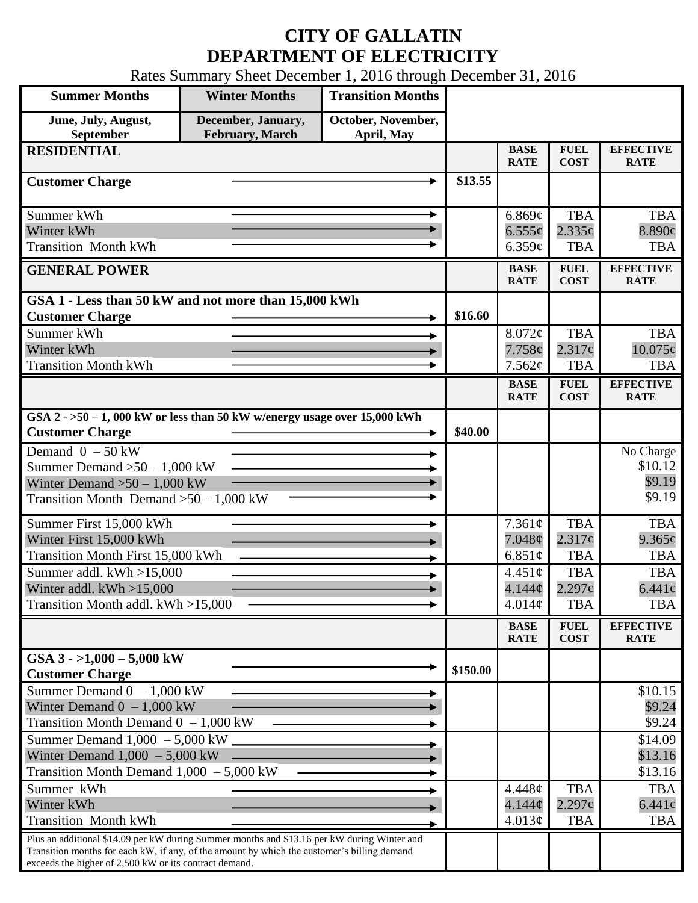## **CITY OF GALLATIN DEPARTMENT OF ELECTRICITY**

Rates Summary Sheet December 1, 2016 through December 31, 2016

| <b>Summer Months</b>                                                                                                                                                                                                                                 | <b>Winter Months</b>                          | <b>Transition Months</b>         |          |                              |                                  |                                 |
|------------------------------------------------------------------------------------------------------------------------------------------------------------------------------------------------------------------------------------------------------|-----------------------------------------------|----------------------------------|----------|------------------------------|----------------------------------|---------------------------------|
| June, July, August,<br>September                                                                                                                                                                                                                     | December, January,<br><b>February</b> , March | October, November,<br>April, May |          |                              |                                  |                                 |
| <b>RESIDENTIAL</b>                                                                                                                                                                                                                                   |                                               |                                  |          | <b>BASE</b><br><b>RATE</b>   | <b>FUEL</b><br><b>COST</b>       | <b>EFFECTIVE</b><br><b>RATE</b> |
| <b>Customer Charge</b>                                                                                                                                                                                                                               |                                               |                                  | \$13.55  |                              |                                  |                                 |
| Summer kWh                                                                                                                                                                                                                                           |                                               |                                  |          | 6.869¢                       | <b>TBA</b>                       | <b>TBA</b>                      |
| Winter kWh                                                                                                                                                                                                                                           |                                               |                                  |          | $6.555\phi$                  | 2.335c                           | 8.890¢                          |
| <b>Transition Month kWh</b>                                                                                                                                                                                                                          |                                               |                                  |          | 6.359¢                       | <b>TBA</b>                       | <b>TBA</b>                      |
| <b>GENERAL POWER</b>                                                                                                                                                                                                                                 |                                               |                                  |          | <b>BASE</b><br><b>RATE</b>   | <b>FUEL</b><br><b>COST</b>       | <b>EFFECTIVE</b><br><b>RATE</b> |
| GSA 1 - Less than 50 kW and not more than 15,000 kWh                                                                                                                                                                                                 |                                               |                                  |          |                              |                                  |                                 |
| <b>Customer Charge</b>                                                                                                                                                                                                                               |                                               |                                  | \$16.60  |                              |                                  |                                 |
| Summer kWh<br>Winter kWh                                                                                                                                                                                                                             |                                               |                                  |          | $8.072\phi$<br>7.758¢        | <b>TBA</b><br>2.317c             | <b>TBA</b><br>$10.075\text{c}$  |
| <b>Transition Month kWh</b>                                                                                                                                                                                                                          |                                               |                                  |          | 7.562¢                       | <b>TBA</b>                       | <b>TBA</b>                      |
|                                                                                                                                                                                                                                                      |                                               |                                  |          | <b>BASE</b>                  | <b>FUEL</b>                      | <b>EFFECTIVE</b>                |
|                                                                                                                                                                                                                                                      |                                               |                                  |          | <b>RATE</b>                  | <b>COST</b>                      | <b>RATE</b>                     |
| GSA $2 - 50 - 1$ , 000 kW or less than 50 kW w/energy usage over 15,000 kWh<br><b>Customer Charge</b>                                                                                                                                                |                                               |                                  | \$40.00  |                              |                                  |                                 |
| Demand $0 - 50$ kW                                                                                                                                                                                                                                   |                                               |                                  |          |                              |                                  | No Charge                       |
| Summer Demand $>50 - 1,000$ kW                                                                                                                                                                                                                       |                                               |                                  |          |                              |                                  | \$10.12                         |
| Winter Demand $>50-1,000$ kW                                                                                                                                                                                                                         |                                               |                                  |          |                              |                                  | \$9.19<br>\$9.19                |
| Transition Month Demand $>50-1,000$ kW                                                                                                                                                                                                               |                                               |                                  |          |                              |                                  |                                 |
| Summer First 15,000 kWh                                                                                                                                                                                                                              |                                               |                                  |          | 7.361¢                       | <b>TBA</b>                       | <b>TBA</b>                      |
| Winter First 15,000 kWh                                                                                                                                                                                                                              |                                               |                                  |          | $7.048\phi$                  | $2.317\phi$                      | $9.365\phi$                     |
| <b>Transition Month First 15,000 kWh</b>                                                                                                                                                                                                             |                                               |                                  |          | 6.851 $\phi$                 | <b>TBA</b>                       | <b>TBA</b>                      |
| Summer addl. kWh >15,000<br>Winter addl. $kWh > 15,000$                                                                                                                                                                                              |                                               |                                  |          | 4.451¢<br>4.144 <sub>c</sub> | <b>TBA</b><br>$2.297\mathcal{C}$ | <b>TBA</b><br>$6.441\varrho$    |
| Transition Month addl. kWh >15,000                                                                                                                                                                                                                   |                                               |                                  |          | 4.014¢                       | <b>TBA</b>                       | <b>TBA</b>                      |
|                                                                                                                                                                                                                                                      |                                               |                                  |          |                              |                                  | <b>EFFECTIVE</b>                |
|                                                                                                                                                                                                                                                      |                                               |                                  |          | <b>BASE</b><br><b>RATE</b>   | <b>FUEL</b><br><b>COST</b>       | <b>RATE</b>                     |
| GSA $3 - 1,000 - 5,000$ kW<br><b>Customer Charge</b>                                                                                                                                                                                                 |                                               |                                  | \$150.00 |                              |                                  |                                 |
| Summer Demand $0 - 1,000$ kW                                                                                                                                                                                                                         |                                               |                                  |          |                              |                                  | \$10.15                         |
| Winter Demand $0 - 1,000$ kW                                                                                                                                                                                                                         |                                               |                                  |          |                              |                                  | \$9.24                          |
| Transition Month Demand $0 - 1,000$ kW                                                                                                                                                                                                               |                                               |                                  |          |                              |                                  | \$9.24                          |
| Summer Demand $1,000 - 5,000$ kW.                                                                                                                                                                                                                    |                                               |                                  |          |                              |                                  | \$14.09                         |
| Winter Demand $1,000 - 5,000$ kW<br>Transition Month Demand $1,000 - 5,000$ kW                                                                                                                                                                       |                                               |                                  |          |                              |                                  | \$13.16<br>\$13.16              |
| Summer kWh                                                                                                                                                                                                                                           |                                               |                                  |          | 4.448¢                       | <b>TBA</b>                       | <b>TBA</b>                      |
| Winter kWh                                                                                                                                                                                                                                           |                                               |                                  |          | 4.144¢                       | $2.297\phi$                      | $6.441\phi$                     |
| <b>Transition Month kWh</b>                                                                                                                                                                                                                          |                                               |                                  |          | 4.013¢                       | <b>TBA</b>                       | <b>TBA</b>                      |
| Plus an additional \$14.09 per kW during Summer months and \$13.16 per kW during Winter and<br>Transition months for each kW, if any, of the amount by which the customer's billing demand<br>exceeds the higher of 2,500 kW or its contract demand. |                                               |                                  |          |                              |                                  |                                 |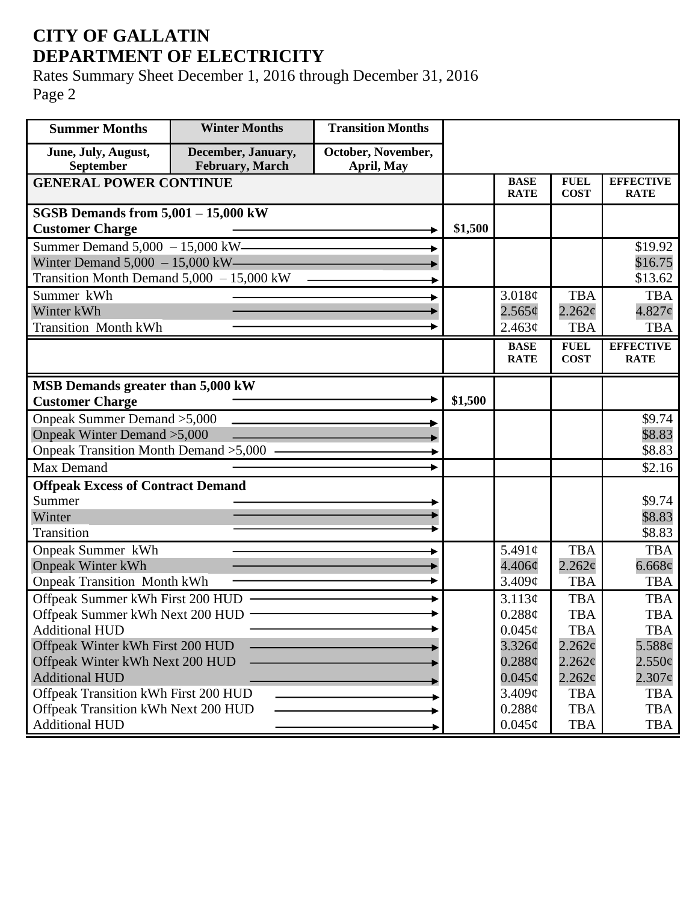## **CITY OF GALLATIN DEPARTMENT OF ELECTRICITY**

Rates Summary Sheet December 1, 2016 through December 31, 2016 Page 2

| <b>Summer Months</b>                                                | <b>Winter Months</b>                  | <b>Transition Months</b>         |         |                            |                            |                                 |
|---------------------------------------------------------------------|---------------------------------------|----------------------------------|---------|----------------------------|----------------------------|---------------------------------|
| June, July, August,<br>September                                    | December, January,<br>February, March | October, November,<br>April, May |         |                            |                            |                                 |
| <b>GENERAL POWER CONTINUE</b>                                       |                                       |                                  |         | <b>BASE</b><br><b>RATE</b> | <b>FUEL</b><br><b>COST</b> | <b>EFFECTIVE</b><br><b>RATE</b> |
| SGSB Demands from $5,001 - 15,000$ kW                               |                                       |                                  |         |                            |                            |                                 |
| <b>Customer Charge</b>                                              |                                       |                                  | \$1,500 |                            |                            |                                 |
| Summer Demand $5,000 - 15,000$ kW-                                  |                                       |                                  |         |                            |                            | \$19.92                         |
| Winter Demand $5,000 - 15,000$ kW——                                 |                                       |                                  |         |                            |                            | \$16.75                         |
| Transition Month Demand $5,000 - 15,000$ kW                         |                                       |                                  |         |                            |                            | \$13.62                         |
| Summer kWh                                                          |                                       |                                  |         | 3.018¢                     | <b>TBA</b>                 | <b>TBA</b>                      |
| Winter kWh                                                          |                                       |                                  |         | 2.565¢                     | $2.262\mathcal{C}$         | $4.827\phi$                     |
| <b>Transition Month kWh</b>                                         |                                       |                                  |         | 2.463¢                     | <b>TBA</b>                 | <b>TBA</b>                      |
|                                                                     |                                       |                                  |         | <b>BASE</b>                | <b>FUEL</b>                | <b>EFFECTIVE</b>                |
|                                                                     |                                       |                                  |         | <b>RATE</b>                | <b>COST</b>                | <b>RATE</b>                     |
| MSB Demands greater than 5,000 kW                                   |                                       |                                  |         |                            |                            |                                 |
| <b>Customer Charge</b>                                              |                                       |                                  | \$1,500 |                            |                            |                                 |
| Onpeak Summer Demand > 5,000                                        |                                       |                                  |         |                            |                            | \$9.74                          |
| Onpeak Winter Demand > 5,000                                        |                                       |                                  |         |                            |                            | \$8.83                          |
| Onpeak Transition Month Demand > 5,000 -                            |                                       |                                  |         |                            |                            | \$8.83                          |
| Max Demand                                                          |                                       |                                  |         |                            |                            | \$2.16                          |
| <b>Offpeak Excess of Contract Demand</b>                            |                                       |                                  |         |                            |                            |                                 |
| Summer                                                              |                                       |                                  |         |                            |                            | \$9.74                          |
| Winter                                                              |                                       |                                  |         |                            |                            | \$8.83                          |
| <b>Transition</b>                                                   |                                       |                                  |         |                            |                            | \$8.83                          |
| Onpeak Summer kWh                                                   |                                       |                                  |         | 5.491 $\phi$               | <b>TBA</b>                 | <b>TBA</b>                      |
| <b>Onpeak Winter kWh</b>                                            |                                       |                                  |         | $4.406\phi$                | 2.262c                     | 6.668¢                          |
| <b>Onpeak Transition Month kWh</b>                                  |                                       |                                  |         | 3.409¢                     | <b>TBA</b>                 | <b>TBA</b>                      |
| Offpeak Summer kWh First 200 HUD                                    |                                       |                                  |         | 3.113¢                     | <b>TBA</b>                 | <b>TBA</b>                      |
| Offpeak Summer kWh Next 200 HUD -                                   |                                       |                                  |         | 0.288¢                     | <b>TBA</b>                 | <b>TBA</b>                      |
| <b>Additional HUD</b>                                               |                                       |                                  |         | $0.045\phi$                | <b>TBA</b>                 | <b>TBA</b>                      |
| Offpeak Winter kWh First 200 HUD<br>Offpeak Winter kWh Next 200 HUD |                                       |                                  |         | 3.326¢<br>$0.288\ell$      | $2.262\phi$<br>$2.262\phi$ | 5.588¢<br>$2.550\phi$           |
| <b>Additional HUD</b>                                               |                                       |                                  |         | $0.045\phi$                | $2.262\phi$                | $2.307\phi$                     |
| Offpeak Transition kWh First 200 HUD                                |                                       |                                  |         | 3.409¢                     | <b>TBA</b>                 | <b>TBA</b>                      |
| Offpeak Transition kWh Next 200 HUD                                 |                                       |                                  |         | 0.288¢                     | <b>TBA</b>                 | <b>TBA</b>                      |
| <b>Additional HUD</b>                                               |                                       |                                  |         | $0.045\phi$                | <b>TBA</b>                 | TBA                             |